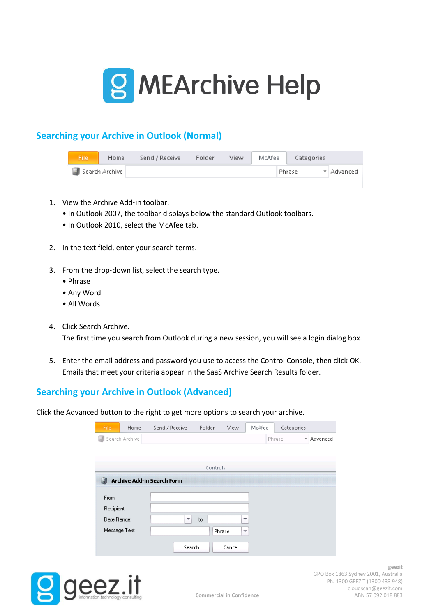

# **Searching your Archive in Outlook (Normal)**

| File'          | Home | Send / Receive | Folder | View. | McAfee |        | Categories |              |
|----------------|------|----------------|--------|-------|--------|--------|------------|--------------|
| Search Archive |      |                |        |       |        | Phrase |            | ▼   Advanced |

- 1. View the Archive Add-in toolbar.
	- In Outlook 2007, the toolbar displays below the standard Outlook toolbars.
	- In Outlook 2010, select the McAfee tab.
- 2. In the text field, enter your search terms.
- 3. From the drop‑down list, select the search type.
	- Phrase
	- Any Word
	- All Words
- 4. Click Search Archive.

The first time you search from Outlook during a new session, you will see a login dialog box.

5. Enter the email address and password you use to access the Control Console, then click OK. Emails that meet your criteria appear in the SaaS Archive Search Results folder.

## **Searching your Archive in Outlook (Advanced)**

Click the Advanced button to the right to get more options to search your archive.

| File.         | Home           | Send / Receive                    | Folder   | View        | McAfee | Categories                        |          |
|---------------|----------------|-----------------------------------|----------|-------------|--------|-----------------------------------|----------|
|               | Search Archive |                                   |          |             |        | Phrase<br>$\overline{\mathbf{v}}$ | Advanced |
|               |                |                                   |          |             |        |                                   |          |
|               |                |                                   | Controls |             |        |                                   |          |
|               |                |                                   |          |             |        |                                   |          |
|               |                | <b>Archive Add-in Search Form</b> |          |             |        |                                   |          |
| From:         |                |                                   |          |             |        |                                   |          |
| Recipient:    |                |                                   |          |             |        |                                   |          |
| Date Range:   |                | ₹                                 | to       | ▼           |        |                                   |          |
| Message Text: |                |                                   |          | Phrase<br>▼ |        |                                   |          |
|               |                | Search                            |          | Cancel      |        |                                   |          |
|               |                |                                   |          |             |        |                                   |          |

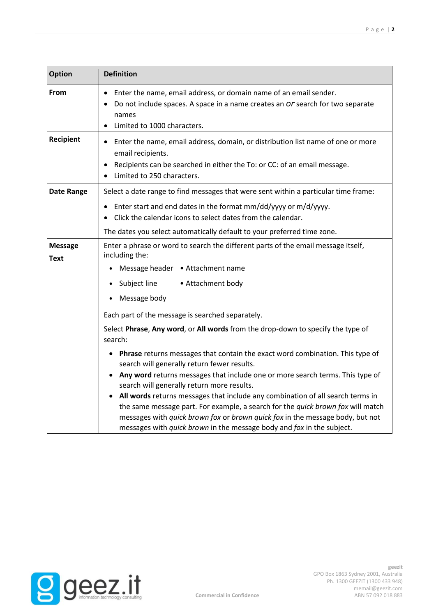| <b>Definition</b>                                                                                                                                                                                                                         |
|-------------------------------------------------------------------------------------------------------------------------------------------------------------------------------------------------------------------------------------------|
| Enter the name, email address, or domain name of an email sender.<br>Do not include spaces. A space in a name creates an Or search for two separate<br>names<br>Limited to 1000 characters.<br>$\bullet$                                  |
| Enter the name, email address, domain, or distribution list name of one or more<br>$\bullet$<br>email recipients.<br>Recipients can be searched in either the To: or CC: of an email message.<br>Limited to 250 characters.               |
| Select a date range to find messages that were sent within a particular time frame:                                                                                                                                                       |
| Enter start and end dates in the format mm/dd/yyyy or m/d/yyyy.<br>Click the calendar icons to select dates from the calendar.                                                                                                            |
| The dates you select automatically default to your preferred time zone.                                                                                                                                                                   |
| Enter a phrase or word to search the different parts of the email message itself,<br>including the:                                                                                                                                       |
| Message header . Attachment name                                                                                                                                                                                                          |
| Subject line<br>• Attachment body                                                                                                                                                                                                         |
| Message body                                                                                                                                                                                                                              |
| Each part of the message is searched separately.                                                                                                                                                                                          |
| Select Phrase, Any word, or All words from the drop-down to specify the type of<br>search:                                                                                                                                                |
| <b>Phrase</b> returns messages that contain the exact word combination. This type of<br>search will generally return fewer results.                                                                                                       |
| Any word returns messages that include one or more search terms. This type of<br>search will generally return more results.                                                                                                               |
| All words returns messages that include any combination of all search terms in                                                                                                                                                            |
| the same message part. For example, a search for the quick brown fox will match<br>messages with quick brown fox or brown quick fox in the message body, but not<br>messages with quick brown in the message body and fox in the subject. |
|                                                                                                                                                                                                                                           |

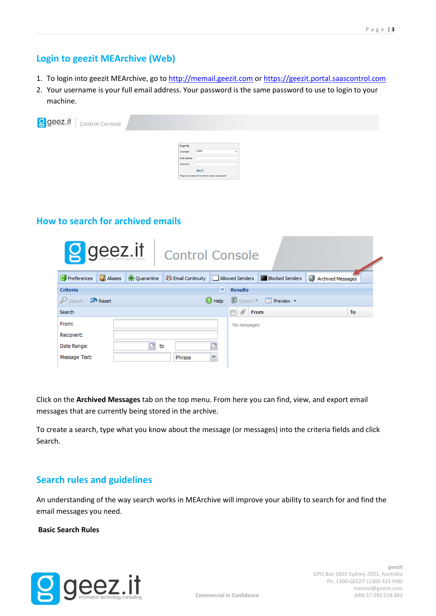## **Login to geezit MEArchive (Web)**

- 1. To login into geezit MEArchive, go to [http://memail.geezit.com](http://memail.geezit.com/) or [https://geezit.portal.saascontrol.com](https://geezit.portal.saascontrol.com/)
- 2. Your username is your full email address. Your password is the same password to use to login to your machine.

| geez.it Control Console |                |                                                    |  |
|-------------------------|----------------|----------------------------------------------------|--|
|                         |                |                                                    |  |
|                         | Sign In        |                                                    |  |
|                         | Language:      | English                                            |  |
|                         | Email Address: |                                                    |  |
|                         | Password:      |                                                    |  |
|                         |                | Sign In                                            |  |
|                         |                | Forgot your password or need to create a password? |  |
|                         |                |                                                    |  |

## **How to search for archived emails**

| g geez.it                         |         | <b>Control Console</b> |                      |                   |                                             |                                                                                                                                                 |
|-----------------------------------|---------|------------------------|----------------------|-------------------|---------------------------------------------|-------------------------------------------------------------------------------------------------------------------------------------------------|
|                                   |         |                        |                      |                   |                                             | 1 Preferences <b>D</b> Aliases <del>፠</del> Quarantine B Email Continuity <u>D</u> Allowed Senders Z Blocked Senders <b>D</b> Archived Messages |
| Criteria                          |         |                        | $\left  \ll \right $ | <b>Results</b>    |                                             |                                                                                                                                                 |
| $\mathcal{P}$ Search $\Box$ Reset |         |                        |                      |                   | Help Export v   <b>Export</b> v   Preview v |                                                                                                                                                 |
| Search                            |         |                        |                      | $\mathscr Q$ From |                                             | To                                                                                                                                              |
| From:                             |         |                        |                      | No messages       |                                             |                                                                                                                                                 |
| <b>Recipient:</b>                 |         |                        |                      |                   |                                             |                                                                                                                                                 |
| Date Range:                       | ৰ<br>to |                        | ×                    |                   |                                             |                                                                                                                                                 |
| Message Text:                     |         | Phrase                 | v                    |                   |                                             |                                                                                                                                                 |

Click on the **Archived Messages** tab on the top menu. From here you can find, view, and export email messages that are currently being stored in the archive.

To create a search, type what you know about the message (or messages) into the criteria fields and click Search.

## **Search rules and guidelines**

An understanding of the way search works in MEArchive will improve your ability to search for and find the email messages you need.

### **Basic Search Rules**

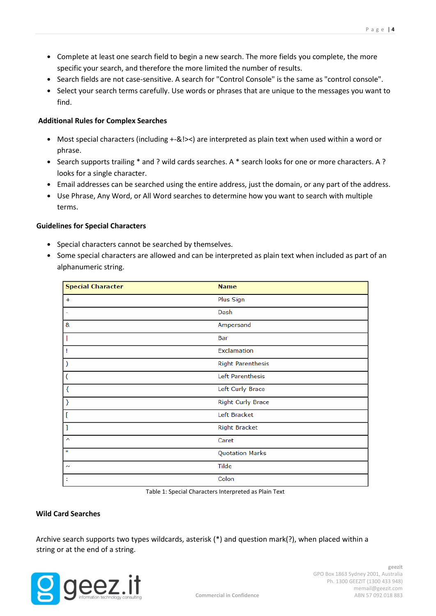- Complete at least one search field to begin a new search. The more fields you complete, the more specific your search, and therefore the more limited the number of results.
- Search fields are not case-sensitive. A search for "Control Console" is the same as "control console".
- Select your search terms carefully. Use words or phrases that are unique to the messages you want to find.

### **Additional Rules for Complex Searches**

- Most special characters (including +-&!><) are interpreted as plain text when used within a word or phrase.
- Search supports trailing \* and ? wild cards searches. A \* search looks for one or more characters. A ? looks for a single character.
- Email addresses can be searched using the entire address, just the domain, or any part of the address.
- Use Phrase, Any Word, or All Word searches to determine how you want to search with multiple terms.

### **Guidelines for Special Characters**

- Special characters cannot be searched by themselves.
- Some special characters are allowed and can be interpreted as plain text when included as part of an alphanumeric string.

| <b>Special Character</b> | <b>Name</b>              |
|--------------------------|--------------------------|
| $\ddot{}$                | Plus Sign                |
| ۰                        | Dash                     |
| &                        | Ampersand                |
|                          | Bar                      |
| 1                        | Exclamation              |
| $\mathcal{E}$            | <b>Right Parenthesis</b> |
| (                        | Left Parenthesis         |
| $\{$                     | Left Curly Brace         |
| }                        | <b>Right Curly Brace</b> |
| ſ                        | Left Bracket             |
| I                        | <b>Right Bracket</b>     |
| $\hat{\phantom{a}}$      | Caret                    |
| ш                        | <b>Quotation Marks</b>   |
| $\sim$                   | <b>Tilde</b>             |
| t                        | Colon                    |

Table 1: Special Characters Interpreted as Plain Text

### **Wild Card Searches**

Archive search supports two types wildcards, asterisk (\*) and question mark(?), when placed within a string or at the end of a string.



**Commercial in Confidence**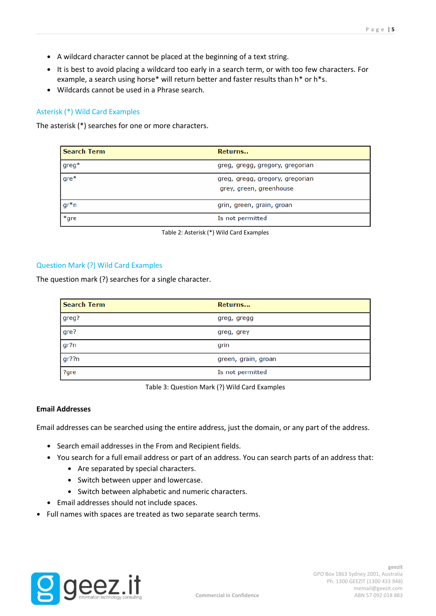- A wildcard character cannot be placed at the beginning of a text string.
- It is best to avoid placing a wildcard too early in a search term, or with too few characters. For example, a search using horse\* will return better and faster results than h\* or h\*s.
- Wildcards cannot be used in a Phrase search.

### Asterisk (\*) Wild Card Examples

The asterisk (\*) searches for one or more characters.

| <b>Search Term</b> | Returns                                                    |
|--------------------|------------------------------------------------------------|
| $greg*$            | greg, gregg, gregory, gregorian                            |
| $gre*$             | greg, gregg, gregory, gregorian<br>grey, green, greenhouse |
| $gr^*n$            | grin, green, grain, groan                                  |
| $*$ gre            | Is not permitted                                           |



### Question Mark (?) Wild Card Examples

The question mark (?) searches for a single character.

| <b>Search Term</b> | Returns             |
|--------------------|---------------------|
| greg?              | greg, gregg         |
| gre?               | greg, grey          |
| gr?n               | grin                |
| gr??n              | green, grain, groan |
| ?gre               | Is not permitted    |

Table 3: Question Mark (?) Wild Card Examples

#### **Email Addresses**

Email addresses can be searched using the entire address, just the domain, or any part of the address.

- Search email addresses in the From and Recipient fields.
- You search for a full email address or part of an address. You can search parts of an address that:
	- Are separated by special characters.
	- Switch between upper and lowercase.
	- Switch between alphabetic and numeric characters.
- Email addresses should not include spaces.
- Full names with spaces are treated as two separate search terms.

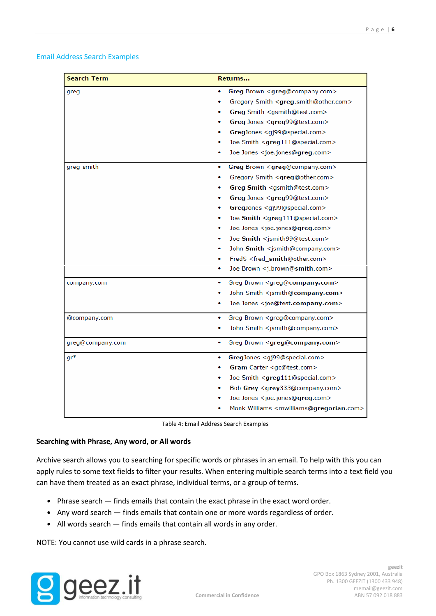### Email Address Search Examples

| <b>Search Term</b> | Returns                                                           |
|--------------------|-------------------------------------------------------------------|
| greg               | Greg Brown <greg@company.com><br/>۰</greg@company.com>            |
|                    | Gregory Smith <greg.smith@other.com><br/>۰</greg.smith@other.com> |
|                    | Greg Smith <gsmith@test.com></gsmith@test.com>                    |
|                    | Greg Jones <greg99@test.com></greg99@test.com>                    |
|                    | GregJones <gj99@special.com></gj99@special.com>                   |
|                    | Joe Smith <greg111@special.com></greg111@special.com>             |
|                    | Joe Jones <joe.jones@greg.com><br/>۰</joe.jones@greg.com>         |
| greg smith         | Greg Brown <greg@company.com><br/>٠</greg@company.com>            |
|                    | Gregory Smith <greg@other.com></greg@other.com>                   |
|                    | Greg Smith <gsmith@test.com></gsmith@test.com>                    |
|                    | Greg Jones <greg99@test.com><br/>۰</greg99@test.com>              |
|                    | GregJones <gj99@special.com></gj99@special.com>                   |
|                    | Joe Smith <greg111@special.com><br/>۰</greg111@special.com>       |
|                    | Joe Jones <joe.jones@greg.com><br/>٠</joe.jones@greg.com>         |
|                    | Joe Smith <jsmith99@test.com><br/>۰</jsmith99@test.com>           |
|                    | John Smith <jsmith@company.com><br/>۰</jsmith@company.com>        |
|                    | FredS <fred_smith@other.com></fred_smith@other.com>               |
|                    | Joe Brown <j.brown@smith.com></j.brown@smith.com>                 |
| company.com        | Greg Brown <greg@company.com><br/>۰</greg@company.com>            |
|                    | John Smith <jsmith@company.com></jsmith@company.com>              |
|                    | Joe Jones <joe@test.company.com><br/>۰</joe@test.company.com>     |
| @company.com       | Greg Brown <greg@company.com><br/>۰</greg@company.com>            |
|                    | John Smith <jsmith@company.com><br/>۰</jsmith@company.com>        |
| greg@company.com   | Greg Brown <greg@company.com><br/>۰</greg@company.com>            |
| $gr^*$             | GregJones <gj99@special.com><br/>۰</gj99@special.com>             |
|                    | Gram Carter <gc@test.com><br/>۰</gc@test.com>                     |
|                    | Joe Smith <greg111@special.com><br/>۰</greg111@special.com>       |
|                    | Bob Grey <grey333@company.com></grey333@company.com>              |
|                    | Joe Jones <joe.jones@greg.com></joe.jones@greg.com>               |
|                    | Monk Williams <mwilliams@gregorian.com></mwilliams@gregorian.com> |

Table 4: Email Address Search Examples

### **Searching with Phrase, Any word, or All words**

Archive search allows you to searching for specific words or phrases in an email. To help with this you can apply rules to some text fields to filter your results. When entering multiple search terms into a text field you can have them treated as an exact phrase, individual terms, or a group of terms.

- Phrase search finds emails that contain the exact phrase in the exact word order.
- Any word search finds emails that contain one or more words regardless of order.
- All words search finds emails that contain all words in any order.

NOTE: You cannot use wild cards in a phrase search.

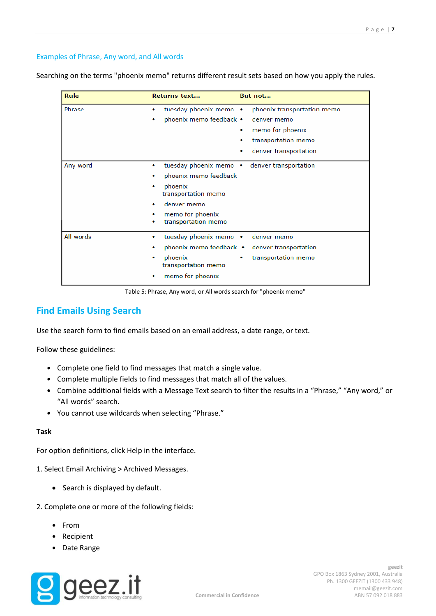### Examples of Phrase, Any word, and All words

Searching on the terms "phoenix memo" returns different result sets based on how you apply the rules.

| Rule      | Returns text                                                                                                                                                    | But not                                                                                                                  |
|-----------|-----------------------------------------------------------------------------------------------------------------------------------------------------------------|--------------------------------------------------------------------------------------------------------------------------|
| Phrase    | tuesday phoenix memo •<br>۰<br>phoenix memo feedback •<br>۰                                                                                                     | phoenix transportation memo<br>denver memo<br>memo for phoenix<br>۰<br>transportation memo<br>denver transportation<br>۰ |
| Any word  | tuesday phoenix memo •<br>۰<br>phoenix memo feedback<br>phoenix<br>transportation memo<br>denver memo<br>۰<br>memo for phoenix<br>۰<br>transportation memo<br>۰ | denver transportation                                                                                                    |
| All words | tuesday phoenix memo •<br>۰<br>phoenix memo feedback •<br>phoenix<br>۰<br>transportation memo<br>memo for phoenix                                               | denver memo<br>denver transportation<br>transportation memo                                                              |

Table 5: Phrase, Any word, or All words search for "phoenix memo"

## **Find Emails Using Search**

Use the search form to find emails based on an email address, a date range, or text.

Follow these guidelines:

- Complete one field to find messages that match a single value.
- Complete multiple fields to find messages that match all of the values.
- Combine additional fields with a Message Text search to filter the results in a "Phrase," "Any word," or "All words" search.
- You cannot use wildcards when selecting "Phrase."

### **Task**

For option definitions, click Help in the interface.

- 1. Select Email Archiving > Archived Messages.
	- Search is displayed by default.
- 2. Complete one or more of the following fields:
	- From
	- Recipient
	- Date Range

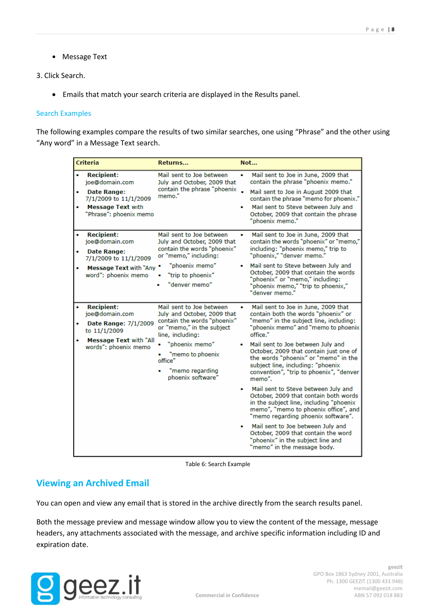• Message Text

### 3. Click Search.

Emails that match your search criteria are displayed in the Results panel.

### Search Examples

The following examples compare the results of two similar searches, one using "Phrase" and the other using "Any word" in a Message Text search.

|             | <b>Criteria</b>                                                                                                                          | Returns                                                                                                                                                                                                                          | Not                                                                                                                                                                                                                                                                                                                                                                                                                                                                                                                                                                                                                                                                                                                                                         |
|-------------|------------------------------------------------------------------------------------------------------------------------------------------|----------------------------------------------------------------------------------------------------------------------------------------------------------------------------------------------------------------------------------|-------------------------------------------------------------------------------------------------------------------------------------------------------------------------------------------------------------------------------------------------------------------------------------------------------------------------------------------------------------------------------------------------------------------------------------------------------------------------------------------------------------------------------------------------------------------------------------------------------------------------------------------------------------------------------------------------------------------------------------------------------------|
| ۰<br>٠<br>۰ | <b>Recipient:</b><br>joe@domain.com<br><b>Date Range:</b><br>7/1/2009 to 11/1/2009<br><b>Message Text with</b><br>"Phrase": phoenix memo | Mail sent to Joe between<br>July and October, 2009 that<br>contain the phrase "phoenix<br>memo."                                                                                                                                 | Mail sent to Joe in June, 2009 that<br>۰<br>contain the phrase "phoenix memo."<br>Mail sent to Joe in August 2009 that<br>contain the phrase "memo for phoenix."<br>Mail sent to Steve between July and<br>October, 2009 that contain the phrase<br>"phoenix memo."                                                                                                                                                                                                                                                                                                                                                                                                                                                                                         |
| ۰<br>۰      | <b>Recipient:</b><br>joe@domain.com<br><b>Date Range:</b><br>7/1/2009 to 11/1/2009<br>Message Text with "Any "<br>word": phoenix memo    | Mail sent to Joe between<br>July and October, 2009 that<br>contain the words "phoenix"<br>or "memo," including:<br>"phoenix memo"<br>"trip to phoenix"<br>"denver memo"                                                          | Mail sent to Joe in June, 2009 that<br>٠<br>contain the words "phoenix" or "memo,"<br>including: "phoenix memo," trip to<br>"phoenix," "denver memo."<br>Mail sent to Steve between July and<br>٠<br>October, 2009 that contain the words<br>"phoenix" or "memo," including:<br>"phoenix memo," "trip to phoenix,"<br>"denver memo."                                                                                                                                                                                                                                                                                                                                                                                                                        |
| ۰           | <b>Recipient:</b><br>joe@domain.com<br>Date Range: 7/1/2009<br>to 11/1/2009<br><b>Message Text with "All</b><br>words": phoenix memo     | Mail sent to Joe between<br>July and October, 2009 that<br>contain the words "phoenix"<br>or "memo," in the subject<br>line, including:<br>"phoenix memo"<br>"memo to phoenix<br>office"<br>"memo regarding<br>phoenix software" | Mail sent to Joe in June, 2009 that<br>٠<br>contain both the words "phoenix" or<br>"memo" in the subject line, including:<br>"phoenix memo" and "memo to phoenix<br>office."<br>Mail sent to Joe between July and<br>October, 2009 that contain just one of<br>the words "phoenix" or "memo" in the<br>subject line, including: "phoenix<br>convention", "trip to phoenix", "denver<br>memo".<br>Mail sent to Steve between July and<br>October, 2009 that contain both words<br>in the subject line, including "phoenix<br>memo", "memo to phoenix office", and<br>"memo regarding phoenix software".<br>Mail sent to Joe between July and<br>٠<br>October, 2009 that contain the word<br>"phoenix" in the subiect line and<br>"memo" in the message body. |

Table 6: Search Example

## **Viewing an Archived Email**

You can open and view any email that is stored in the archive directly from the search results panel.

Both the message preview and message window allow you to view the content of the message, message headers, any attachments associated with the message, and archive specific information including ID and expiration date.

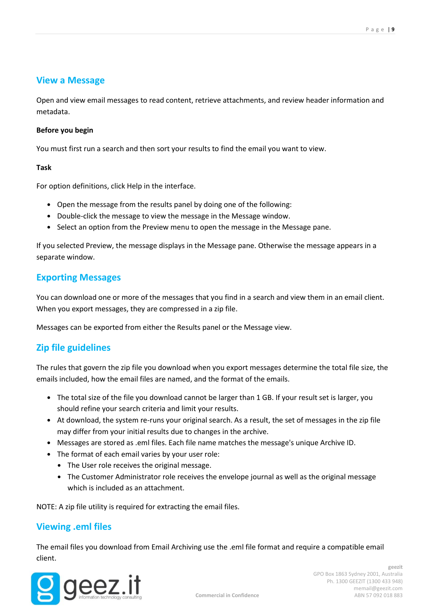### **View a Message**

Open and view email messages to read content, retrieve attachments, and review header information and metadata.

### **Before you begin**

You must first run a search and then sort your results to find the email you want to view.

### **Task**

For option definitions, click Help in the interface.

- Open the message from the results panel by doing one of the following:
- Double-click the message to view the message in the Message window.
- Select an option from the Preview menu to open the message in the Message pane.

If you selected Preview, the message displays in the Message pane. Otherwise the message appears in a separate window.

## **Exporting Messages**

You can download one or more of the messages that you find in a search and view them in an email client. When you export messages, they are compressed in a zip file.

Messages can be exported from either the Results panel or the Message view.

## **Zip file guidelines**

The rules that govern the zip file you download when you export messages determine the total file size, the emails included, how the email files are named, and the format of the emails.

- The total size of the file you download cannot be larger than 1 GB. If your result set is larger, you should refine your search criteria and limit your results.
- At download, the system re-runs your original search. As a result, the set of messages in the zip file may differ from your initial results due to changes in the archive.
- Messages are stored as .eml files. Each file name matches the message's unique Archive ID.
- The format of each email varies by your user role:
	- The User role receives the original message.
	- The Customer Administrator role receives the envelope journal as well as the original message which is included as an attachment.

NOTE: A zip file utility is required for extracting the email files.

### **Viewing .eml files**

The email files you download from Email Archiving use the .eml file format and require a compatible email client.